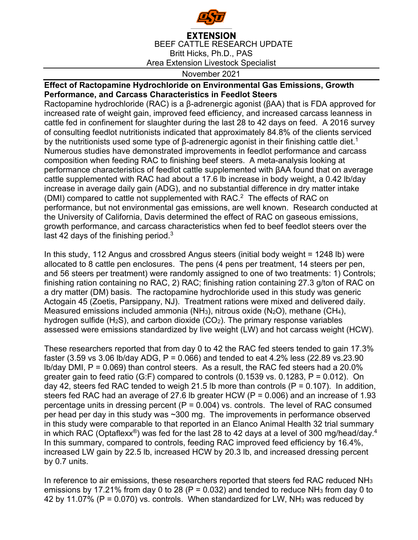

## **EXTENSION** BEEF CATTLE RESEARCH UPDATE Britt Hicks, Ph.D., PAS Area Extension Livestock Specialist

## November 2021

## **Effect of Ractopamine Hydrochloride on Environmental Gas Emissions, Growth Performance, and Carcass Characteristics in Feedlot Steers**

Ractopamine hydrochloride (RAC) is a β-adrenergic agonist (βAA) that is FDA approved for increased rate of weight gain, improved feed efficiency, and increased carcass leanness in cattle fed in confinement for slaughter during the last 28 to 42 days on feed. A 2016 survey of consulting feedlot nutritionists indicated that approximately 84.8% of the clients serviced by the nutritionists used some type of β-adrenergic agonist in their finishing cattle diet.<sup>1</sup> Numerous studies have demonstrated improvements in feedlot performance and carcass composition when feeding RAC to finishing beef steers. A meta-analysis looking at performance characteristics of feedlot cattle supplemented with βAA found that on average cattle supplemented with RAC had about a 17.6 lb increase in body weight, a 0.42 lb/day increase in average daily gain (ADG), and no substantial difference in dry matter intake (DMI) compared to cattle not supplemented with RAC.<sup>2</sup> The effects of RAC on performance, but not environmental gas emissions, are well known. Research conducted at the University of California, Davis determined the effect of RAC on gaseous emissions, growth performance, and carcass characteristics when fed to beef feedlot steers over the last 42 days of the finishing period. $3$ 

In this study, 112 Angus and crossbred Angus steers (initial body weight = 1248 lb) were allocated to 8 cattle pen enclosures. The pens (4 pens per treatment, 14 steers per pen, and 56 steers per treatment) were randomly assigned to one of two treatments: 1) Controls; finishing ration containing no RAC, 2) RAC; finishing ration containing 27.3 g/ton of RAC on a dry matter (DM) basis. The ractopamine hydrochloride used in this study was generic Actogain 45 (Zoetis, Parsippany, NJ). Treatment rations were mixed and delivered daily. Measured emissions included ammonia (NH<sub>3</sub>), nitrous oxide (N<sub>2</sub>O), methane (CH<sub>4</sub>), hydrogen sulfide  $(H_2S)$ , and carbon dioxide  $(CO_2)$ . The primary response variables assessed were emissions standardized by live weight (LW) and hot carcass weight (HCW).

These researchers reported that from day 0 to 42 the RAC fed steers tended to gain 17.3% faster (3.59 vs 3.06 lb/day ADG,  $P = 0.066$ ) and tended to eat 4.2% less (22.89 vs.23.90 lb/day DMI,  $P = 0.069$ ) than control steers. As a result, the RAC fed steers had a 20.0% greater gain to feed ratio (G:F) compared to controls (0.1539 vs. 0.1283,  $P = 0.012$ ). On day 42, steers fed RAC tended to weigh 21.5 lb more than controls ( $P = 0.107$ ). In addition, steers fed RAC had an average of 27.6 lb greater HCW (P = 0.006) and an increase of 1.93 percentage units in dressing percent ( $P = 0.004$ ) vs. controls. The level of RAC consumed per head per day in this study was ~300 mg. The improvements in performance observed in this study were comparable to that reported in an Elanco Animal Health 32 trial summary in which RAC (Optaflexx<sup>®</sup>) was fed for the last 28 to 42 days at a level of 300 mg/head/day.<sup>4</sup> In this summary, compared to controls, feeding RAC improved feed efficiency by 16.4%, increased LW gain by 22.5 lb, increased HCW by 20.3 lb, and increased dressing percent by 0.7 units.

In reference to air emissions, these researchers reported that steers fed RAC reduced NH<sub>3</sub> emissions by 17.21% from day 0 to 28 (P = 0.032) and tended to reduce  $NH<sub>3</sub>$  from day 0 to 42 by 11.07% ( $P = 0.070$ ) vs. controls. When standardized for LW, NH<sub>3</sub> was reduced by